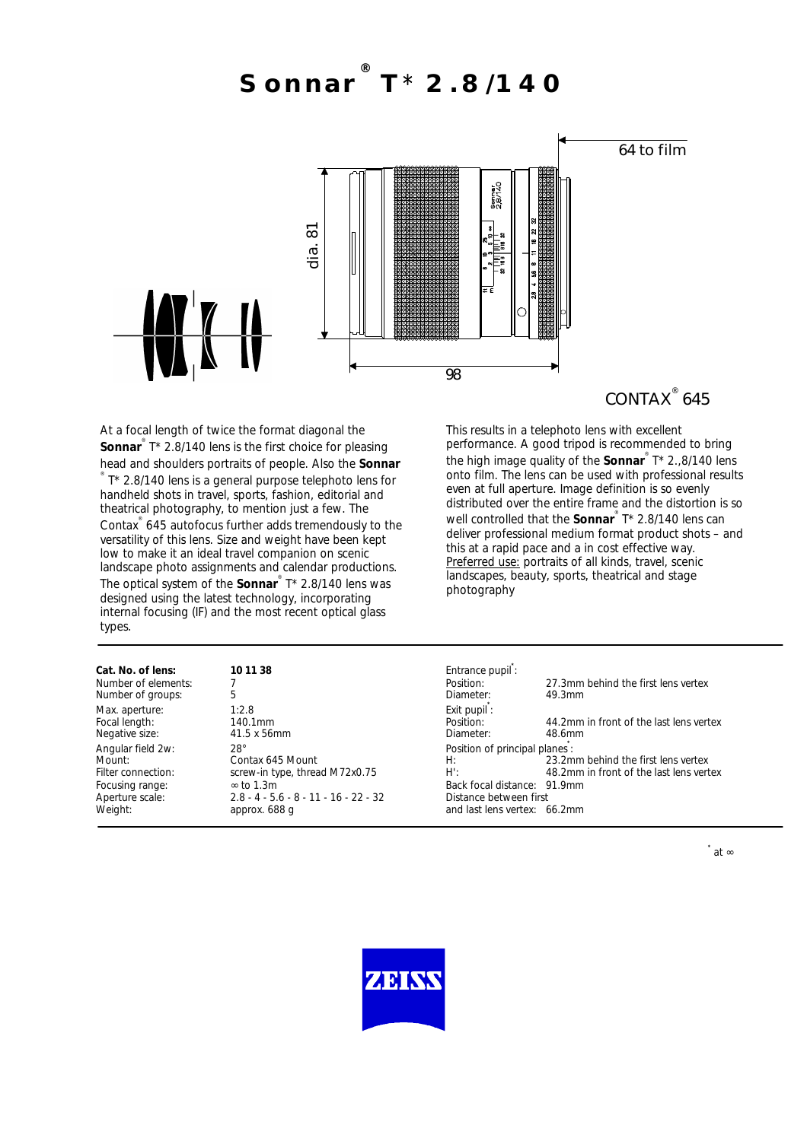**Sonnar ® T**\* **2.8/140**



At a focal length of twice the format diagonal the **Sonnar**<sup>®</sup> T\* 2.8/140 lens is the first choice for pleasing head and shoulders portraits of people. Also the **Sonnar** ® T\* 2.8/140 lens is a general purpose telephoto lens for handheld shots in travel, sports, fashion, editorial and theatrical photography, to mention just a few. The Contax ® 645 autofocus further adds tremendously to the versatility of this lens. Size and weight have been kept low to make it an ideal travel companion on scenic landscape photo assignments and calendar productions. The optical system of the **Sonnar** ® T\* 2.8/140 lens was designed using the latest technology, incorporating internal focusing (IF) and the most recent optical glass types.

## CONTAX<sup>®</sup> 645

This results in a telephoto lens with excellent performance. A good tripod is recommended to bring the high image quality of the **Sonnar** ® T\* 2.,8/140 lens onto film. The lens can be used with professional results even at full aperture. Image definition is so evenly distributed over the entire frame and the distortion is so well controlled that the **Sonnar**<sup>®</sup> T\* 2.8/140 lens can deliver professional medium format product shots – and this at a rapid pace and a in cost effective way. Preferred use: portraits of all kinds, travel, scenic landscapes, beauty, sports, theatrical and stage photography

| Cat. No. of lens:   | 10 11 38                                | Entrance pupil:               |                                         |
|---------------------|-----------------------------------------|-------------------------------|-----------------------------------------|
| Number of elements: |                                         | Position:                     | 27.3mm behind the first lens vertex     |
| Number of groups:   | 5                                       | Diameter:                     | 49.3mm                                  |
| Max. aperture:      | 1:2.8                                   | Exit pupil:                   |                                         |
| Focal length:       | 140.1mm                                 | Position:                     | 44.2mm in front of the last lens vertex |
| Negative size:      | 41.5 x 56mm                             | Diameter:                     | 48.6mm                                  |
| Angular field 2w:   | $28^\circ$                              | Position of principal planes: |                                         |
| Mount:              | Contax 645 Mount                        | H:                            | 23.2mm behind the first lens vertex     |
| Filter connection:  | screw-in type, thread M72x0.75          | $H^{\prime}$ :                | 48.2mm in front of the last lens vertex |
| Focusing range:     | $\approx$ to 1.3m                       | Back focal distance: 91.9mm   |                                         |
| Aperture scale:     | $2.8 - 4 - 5.6 - 8 - 11 - 16 - 22 - 32$ | Distance between first        |                                         |
| Weight:             | approx. 688 q                           | and last lens vertex: 66.2mm  |                                         |
|                     |                                         |                               |                                         |